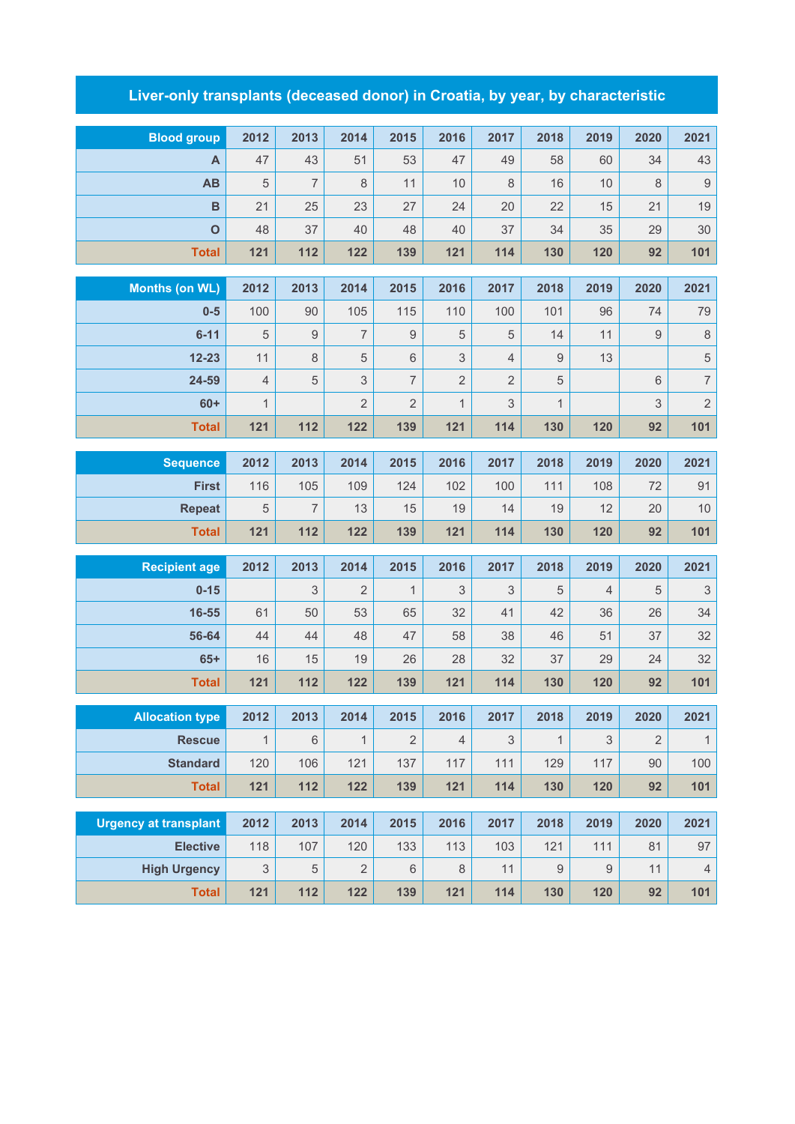## **Liver-only transplants (deceased donor) in Croatia, by year, by characteristic**

| <b>Blood group</b>           | 2012                 | 2013           | 2014                  | 2015                | 2016                | 2017           | 2018                | 2019       | 2020           | 2021                                   |
|------------------------------|----------------------|----------------|-----------------------|---------------------|---------------------|----------------|---------------------|------------|----------------|----------------------------------------|
| A                            | 47                   | 43             | 51                    | 53                  | 47                  | 49             | 58                  | 60         | 34             | 43                                     |
| AB                           | 5                    | $\overline{7}$ | 8                     | 11                  | 10                  | 8              | 16                  | 10         | 8              | $\overline{9}$                         |
| $\overline{B}$               | 21                   | 25             | 23                    | 27                  | 24                  | 20             | 22                  | 15         | 21             | 19                                     |
| $\mathbf{o}$                 | 48                   | 37             | 40                    | 48                  | 40                  | 37             | 34                  | 35         | 29             | $30\,$                                 |
| <b>Total</b>                 | $121$                | 112            | 122                   | 139                 | 121                 | 114            | 130                 | 120        | 92             | 101                                    |
|                              |                      |                |                       |                     |                     |                |                     |            |                |                                        |
| <b>Months (on WL)</b>        | 2012                 | 2013           | 2014                  | 2015                | 2016                | 2017           | 2018                | 2019       | 2020           | 2021                                   |
| $0-5$                        | 100                  | 90             | 105                   | 115                 | 110                 | 100            | 101                 | 96         | 74             | 79                                     |
| $6 - 11$                     | 5                    | $\mathsf 9$    | $\overline{7}$        | 9                   | 5                   | 5              | 14                  | 11         | 9              | $\,8\,$                                |
| $12 - 23$                    | 11<br>$\overline{4}$ | $\,8\,$        | 5                     | 6<br>$\overline{7}$ | $\mathsf 3$         | $\overline{4}$ | 9                   | 13         |                | $\sqrt{5}$<br>$\overline{\mathcal{I}}$ |
| 24-59                        |                      | $\sqrt{5}$     | 3                     | $\overline{2}$      | $\overline{2}$      | $\overline{2}$ | 5                   |            | 6              | $\overline{c}$                         |
| $60+$                        | $\mathbf{1}$<br>121  | 112            | $\overline{2}$<br>122 | 139                 | $\mathbf{1}$<br>121 | 3<br>114       | $\mathbf{1}$<br>130 | 120        | 3<br>92        | 101                                    |
| <b>Total</b>                 |                      |                |                       |                     |                     |                |                     |            |                |                                        |
| <b>Sequence</b>              | 2012                 | 2013           | 2014                  | 2015                | 2016                | 2017           | 2018                | 2019       | 2020           | 2021                                   |
| <b>First</b>                 | 116                  | 105            | 109                   | 124                 | 102                 | 100            | 111                 | 108        | 72             | 91                                     |
| <b>Repeat</b>                | 5                    | $\overline{7}$ | 13                    | 15                  | 19                  | 14             | 19                  | 12         | 20             | 10                                     |
| <b>Total</b>                 | 121                  | 112            | 122                   | 139                 | 121                 | 114            | 130                 | 120        | 92             | 101                                    |
| <b>Recipient age</b>         | 2012                 | 2013           | 2014                  | 2015                | 2016                | 2017           | 2018                | 2019       | 2020           | 2021                                   |
| $0 - 15$                     |                      | 3              | $\overline{2}$        | $\mathbf{1}$        | 3                   | 3              | 5                   | 4          | 5              | $\ensuremath{\mathsf{3}}$              |
| 16-55                        | 61                   | 50             | 53                    | 65                  | 32                  | 41             | 42                  | 36         | 26             | 34                                     |
| 56-64                        | 44                   | 44             | 48                    | 47                  | 58                  | 38             | 46                  | 51         | 37             | 32                                     |
| $65+$                        | 16                   | 15             | 19                    | 26                  | 28                  | 32             | 37                  | 29         | 24             | 32                                     |
| <b>Total</b>                 | $121$                | 112            | 122                   | 139                 | 121                 | 114            | 130                 | 120        | 92             | 101                                    |
|                              |                      |                |                       |                     |                     |                |                     |            |                |                                        |
| <b>Allocation type</b>       | 2012                 | 2013           | 2014                  | 2015                | 2016                | 2017           | 2018                | 2019       | 2020           | 2021                                   |
| <b>Rescue</b>                | $\mathbf{1}$         | $\,6\,$        | $\mathbf{1}$          | $\overline{2}$      | $\overline{4}$      | $\mathfrak 3$  | $\mathbf{1}$        | 3          | $\overline{2}$ | $\mathbf{1}$                           |
| <b>Standard</b>              | 120                  | 106            | 121                   | 137                 | 117                 | 111            | 129                 | 117        | 90             | 100                                    |
| <b>Total</b>                 | $121$                | 112            | 122                   | 139                 | $121$               | 114            | 130                 | 120        | 92             | 101                                    |
| <b>Urgency at transplant</b> | 2012                 | 2013           | 2014                  | 2015                | 2016                | 2017           | 2018                | 2019       | 2020           | 2021                                   |
| <b>Elective</b>              | 118                  | 107            | 120                   | 133                 | 113                 | 103            | 121                 | 111        | 81             | $97\,$                                 |
| <b>High Urgency</b>          | $\mathsf 3$          | $\mathbf 5$    | $\sqrt{2}$            | 6                   | $\,8\,$             | 11             | $\hbox{9}$          | $\hbox{9}$ | 11             | $\overline{4}$                         |
| <b>Total</b>                 | $121$                | 112            | 122                   | 139                 | $121$               | 114            | 130                 | 120        | 92             | 101                                    |